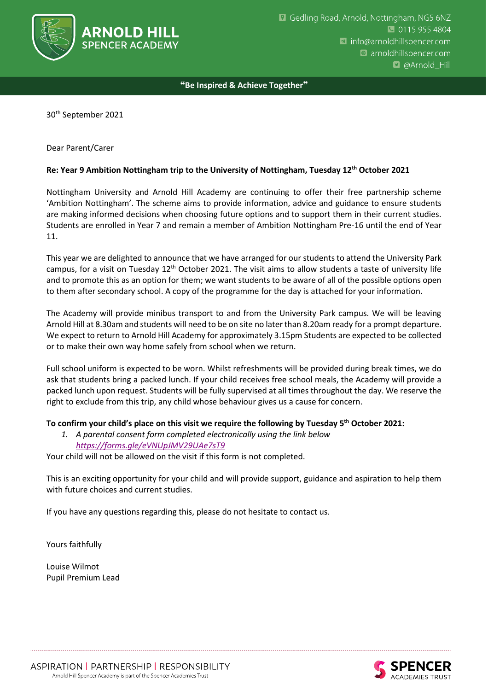

❝**Be Inspired & Achieve Together**❞

30th September 2021

## Dear Parent/Carer

## **Re: Year 9 Ambition Nottingham trip to the University of Nottingham, Tuesday 12th October 2021**

Nottingham University and Arnold Hill Academy are continuing to offer their free partnership scheme 'Ambition Nottingham'. The scheme aims to provide information, advice and guidance to ensure students are making informed decisions when choosing future options and to support them in their current studies. Students are enrolled in Year 7 and remain a member of Ambition Nottingham Pre-16 until the end of Year 11.

This year we are delighted to announce that we have arranged for our students to attend the University Park campus, for a visit on Tuesday  $12<sup>th</sup>$  October 2021. The visit aims to allow students a taste of university life and to promote this as an option for them; we want students to be aware of all of the possible options open to them after secondary school. A copy of the programme for the day is attached for your information.

The Academy will provide minibus transport to and from the University Park campus. We will be leaving Arnold Hill at 8.30am and students will need to be on site no later than 8.20am ready for a prompt departure. We expect to return to Arnold Hill Academy for approximately 3.15pm Students are expected to be collected or to make their own way home safely from school when we return.

Full school uniform is expected to be worn. Whilst refreshments will be provided during break times, we do ask that students bring a packed lunch. If your child receives free school meals, the Academy will provide a packed lunch upon request. Students will be fully supervised at all times throughout the day. We reserve the right to exclude from this trip, any child whose behaviour gives us a cause for concern.

## **To confirm your child's place on this visit we require the following by Tuesday 5th October 2021:**

*1. A parental consent form completed electronically using the link below <https://forms.gle/eVNUpJMV29UAe7sT9>*

Your child will not be allowed on the visit if this form is not completed.

This is an exciting opportunity for your child and will provide support, guidance and aspiration to help them with future choices and current studies.

If you have any questions regarding this, please do not hesitate to contact us.

Yours faithfully

Louise Wilmot Pupil Premium Lead